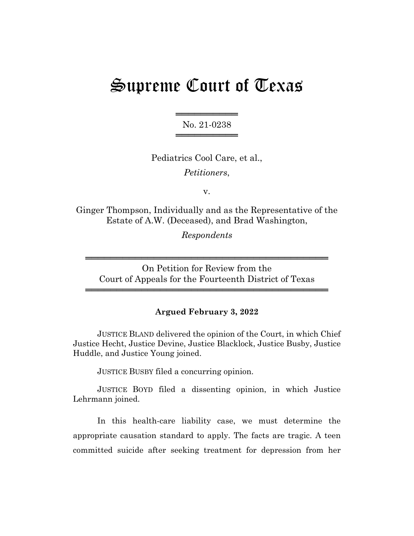# Supreme Court of Texas

══════════ No. 21-0238 ═══════════════════

Pediatrics Cool Care, et al., *Petitioners*,

v.

Ginger Thompson, Individually and as the Representative of the Estate of A.W. (Deceased), and Brad Washington,

*Respondents*

On Petition for Review from the Court of Appeals for the Fourteenth District of Texas

═══════════════════════════════════════

═══════════════════════════════════════

#### **Argued February 3, 2022**

JUSTICE BLAND delivered the opinion of the Court, in which Chief Justice Hecht, Justice Devine, Justice Blacklock, Justice Busby, Justice Huddle, and Justice Young joined.

JUSTICE BUSBY filed a concurring opinion.

JUSTICE BOYD filed a dissenting opinion, in which Justice Lehrmann joined.

In this health-care liability case, we must determine the appropriate causation standard to apply. The facts are tragic. A teen committed suicide after seeking treatment for depression from her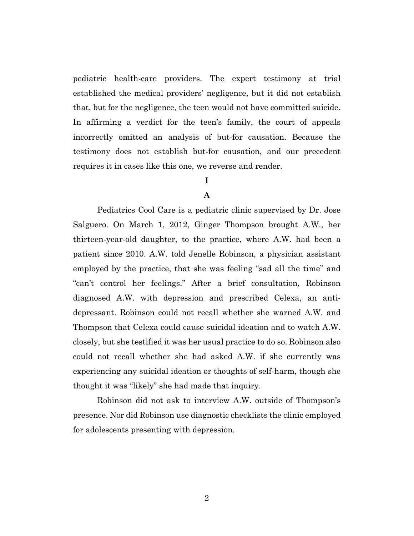pediatric health-care providers. The expert testimony at trial established the medical providers' negligence, but it did not establish that, but for the negligence, the teen would not have committed suicide. In affirming a verdict for the teen's family, the court of appeals incorrectly omitted an analysis of but-for causation. Because the testimony does not establish but-for causation, and our precedent requires it in cases like this one, we reverse and render.

## **I**

### **A**

Pediatrics Cool Care is a pediatric clinic supervised by Dr. Jose Salguero. On March 1, 2012, Ginger Thompson brought A.W., her thirteen-year-old daughter, to the practice, where A.W. had been a patient since 2010. A.W. told Jenelle Robinson, a physician assistant employed by the practice, that she was feeling "sad all the time" and "can't control her feelings." After a brief consultation, Robinson diagnosed A.W. with depression and prescribed Celexa, an antidepressant. Robinson could not recall whether she warned A.W. and Thompson that Celexa could cause suicidal ideation and to watch A.W. closely, but she testified it was her usual practice to do so. Robinson also could not recall whether she had asked A.W. if she currently was experiencing any suicidal ideation or thoughts of self-harm, though she thought it was "likely" she had made that inquiry.

Robinson did not ask to interview A.W. outside of Thompson's presence. Nor did Robinson use diagnostic checklists the clinic employed for adolescents presenting with depression.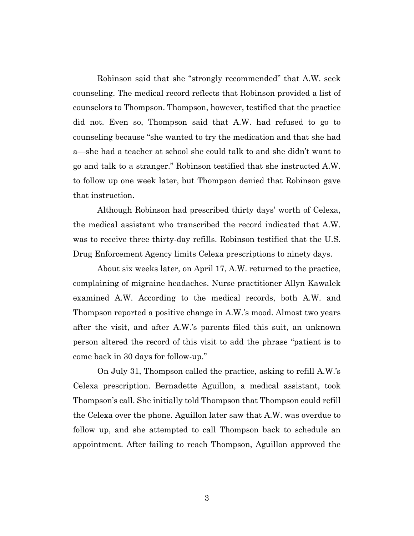Robinson said that she "strongly recommended" that A.W. seek counseling. The medical record reflects that Robinson provided a list of counselors to Thompson. Thompson, however, testified that the practice did not. Even so, Thompson said that A.W. had refused to go to counseling because "she wanted to try the medication and that she had a—she had a teacher at school she could talk to and she didn't want to go and talk to a stranger." Robinson testified that she instructed A.W. to follow up one week later, but Thompson denied that Robinson gave that instruction.

Although Robinson had prescribed thirty days' worth of Celexa, the medical assistant who transcribed the record indicated that A.W. was to receive three thirty-day refills. Robinson testified that the U.S. Drug Enforcement Agency limits Celexa prescriptions to ninety days.

About six weeks later, on April 17, A.W. returned to the practice, complaining of migraine headaches. Nurse practitioner Allyn Kawalek examined A.W. According to the medical records, both A.W. and Thompson reported a positive change in A.W.'s mood. Almost two years after the visit, and after A.W.'s parents filed this suit, an unknown person altered the record of this visit to add the phrase "patient is to come back in 30 days for follow-up."

On July 31, Thompson called the practice, asking to refill A.W.'s Celexa prescription. Bernadette Aguillon, a medical assistant, took Thompson's call. She initially told Thompson that Thompson could refill the Celexa over the phone. Aguillon later saw that A.W. was overdue to follow up, and she attempted to call Thompson back to schedule an appointment. After failing to reach Thompson, Aguillon approved the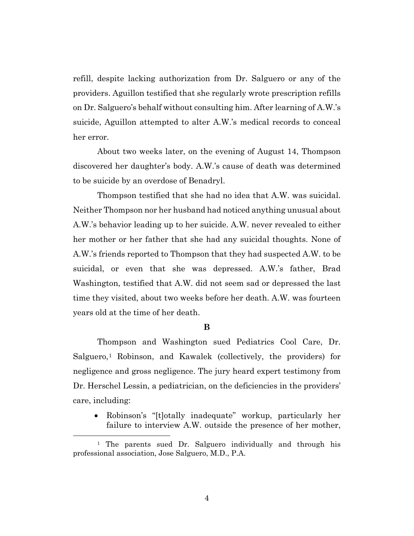refill, despite lacking authorization from Dr. Salguero or any of the providers. Aguillon testified that she regularly wrote prescription refills on Dr. Salguero's behalf without consulting him. After learning of A.W.'s suicide, Aguillon attempted to alter A.W.'s medical records to conceal her error.

About two weeks later, on the evening of August 14, Thompson discovered her daughter's body. A.W.'s cause of death was determined to be suicide by an overdose of Benadryl.

Thompson testified that she had no idea that A.W. was suicidal. Neither Thompson nor her husband had noticed anything unusual about A.W.'s behavior leading up to her suicide. A.W. never revealed to either her mother or her father that she had any suicidal thoughts. None of A.W.'s friends reported to Thompson that they had suspected A.W. to be suicidal, or even that she was depressed. A.W.'s father, Brad Washington, testified that A.W. did not seem sad or depressed the last time they visited, about two weeks before her death. A.W. was fourteen years old at the time of her death.

#### **B**

Thompson and Washington sued Pediatrics Cool Care, Dr. Salguero,<sup>1</sup> Robinson, and Kawalek (collectively, the providers) for negligence and gross negligence. The jury heard expert testimony from Dr. Herschel Lessin, a pediatrician, on the deficiencies in the providers' care, including:

• Robinson's "[t]otally inadequate" workup, particularly her failure to interview A.W. outside the presence of her mother,

<sup>&</sup>lt;sup>1</sup> The parents sued Dr. Salguero individually and through his professional association, Jose Salguero, M.D., P.A.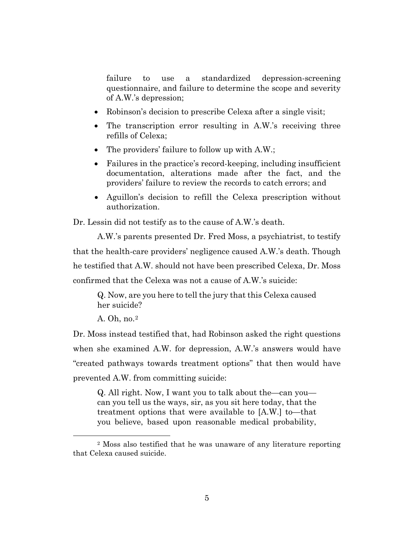failure to use a standardized depression-screening questionnaire, and failure to determine the scope and severity of A.W.'s depression;

- Robinson's decision to prescribe Celexa after a single visit;
- The transcription error resulting in A.W.'s receiving three refills of Celexa;
- The providers' failure to follow up with A.W.;
- Failures in the practice's record-keeping, including insufficient documentation, alterations made after the fact, and the providers' failure to review the records to catch errors; and
- Aguillon's decision to refill the Celexa prescription without authorization.

Dr. Lessin did not testify as to the cause of A.W.'s death.

A.W.'s parents presented Dr. Fred Moss, a psychiatrist, to testify that the health-care providers' negligence caused A.W.'s death. Though he testified that A.W. should not have been prescribed Celexa, Dr. Moss confirmed that the Celexa was not a cause of A.W.'s suicide:

Q. Now, are you here to tell the jury that this Celexa caused her suicide?

A. Oh, no.2

Dr. Moss instead testified that, had Robinson asked the right questions when she examined A.W. for depression, A.W.'s answers would have "created pathways towards treatment options" that then would have prevented A.W. from committing suicide:

Q. All right. Now, I want you to talk about the—can you can you tell us the ways, sir, as you sit here today, that the treatment options that were available to [A.W.] to—that you believe, based upon reasonable medical probability,

<sup>2</sup> Moss also testified that he was unaware of any literature reporting that Celexa caused suicide.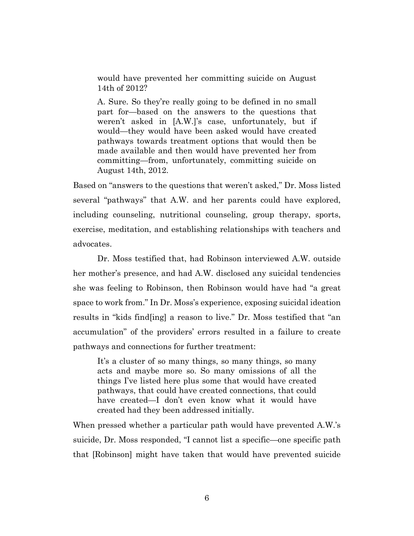would have prevented her committing suicide on August 14th of 2012?

A. Sure. So they're really going to be defined in no small part for—based on the answers to the questions that weren't asked in [A.W.]'s case, unfortunately, but if would—they would have been asked would have created pathways towards treatment options that would then be made available and then would have prevented her from committing—from, unfortunately, committing suicide on August 14th, 2012.

Based on "answers to the questions that weren't asked," Dr. Moss listed several "pathways" that A.W. and her parents could have explored, including counseling, nutritional counseling, group therapy, sports, exercise, meditation, and establishing relationships with teachers and advocates.

Dr. Moss testified that, had Robinson interviewed A.W. outside her mother's presence, and had A.W. disclosed any suicidal tendencies she was feeling to Robinson, then Robinson would have had "a great space to work from." In Dr. Moss's experience, exposing suicidal ideation results in "kids find[ing] a reason to live." Dr. Moss testified that "an accumulation" of the providers' errors resulted in a failure to create pathways and connections for further treatment:

It's a cluster of so many things, so many things, so many acts and maybe more so. So many omissions of all the things I've listed here plus some that would have created pathways, that could have created connections, that could have created—I don't even know what it would have created had they been addressed initially.

When pressed whether a particular path would have prevented A.W.'s suicide, Dr. Moss responded, "I cannot list a specific—one specific path that [Robinson] might have taken that would have prevented suicide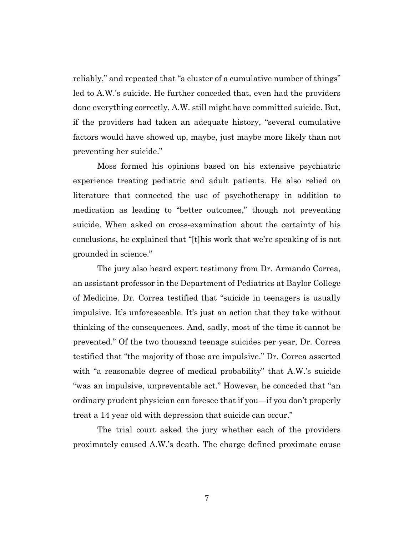reliably," and repeated that "a cluster of a cumulative number of things" led to A.W.'s suicide. He further conceded that, even had the providers done everything correctly, A.W. still might have committed suicide. But, if the providers had taken an adequate history, "several cumulative factors would have showed up, maybe, just maybe more likely than not preventing her suicide."

Moss formed his opinions based on his extensive psychiatric experience treating pediatric and adult patients. He also relied on literature that connected the use of psychotherapy in addition to medication as leading to "better outcomes," though not preventing suicide. When asked on cross-examination about the certainty of his conclusions, he explained that "[t]his work that we're speaking of is not grounded in science."

The jury also heard expert testimony from Dr. Armando Correa, an assistant professor in the Department of Pediatrics at Baylor College of Medicine. Dr. Correa testified that "suicide in teenagers is usually impulsive. It's unforeseeable. It's just an action that they take without thinking of the consequences. And, sadly, most of the time it cannot be prevented." Of the two thousand teenage suicides per year, Dr. Correa testified that "the majority of those are impulsive." Dr. Correa asserted with "a reasonable degree of medical probability" that A.W.'s suicide "was an impulsive, unpreventable act." However, he conceded that "an ordinary prudent physician can foresee that if you—if you don't properly treat a 14 year old with depression that suicide can occur."

The trial court asked the jury whether each of the providers proximately caused A.W.'s death. The charge defined proximate cause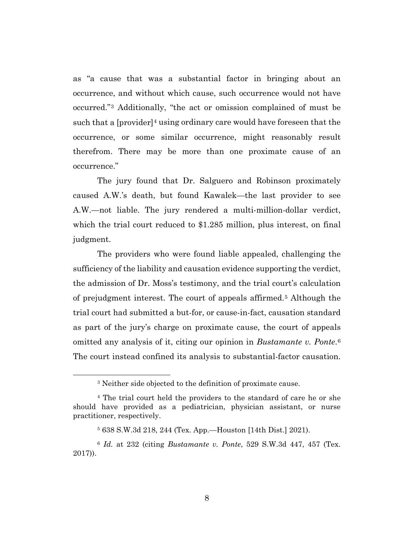as "a cause that was a substantial factor in bringing about an occurrence, and without which cause, such occurrence would not have occurred."3 Additionally, "the act or omission complained of must be such that a  $[prouider]^4$  using ordinary care would have foreseen that the occurrence, or some similar occurrence, might reasonably result therefrom. There may be more than one proximate cause of an occurrence."

The jury found that Dr. Salguero and Robinson proximately caused A.W.'s death, but found Kawalek—the last provider to see A.W.—not liable. The jury rendered a multi-million-dollar verdict, which the trial court reduced to \$1.285 million, plus interest, on final judgment.

The providers who were found liable appealed, challenging the sufficiency of the liability and causation evidence supporting the verdict, the admission of Dr. Moss's testimony, and the trial court's calculation of prejudgment interest. The court of appeals affirmed.5 Although the trial court had submitted a but-for, or cause-in-fact, causation standard as part of the jury's charge on proximate cause, the court of appeals omitted any analysis of it, citing our opinion in *Bustamante v. Ponte*.6 The court instead confined its analysis to substantial-factor causation.

<sup>3</sup> Neither side objected to the definition of proximate cause.

<sup>4</sup> The trial court held the providers to the standard of care he or she should have provided as a pediatrician, physician assistant, or nurse practitioner, respectively.

<sup>5</sup> 638 S.W.3d 218, 244 (Tex. App.—Houston [14th Dist.] 2021).

<sup>6</sup> *Id.* at 232 (citing *Bustamante v. Ponte*, 529 S.W.3d 447, 457 (Tex. 2017)).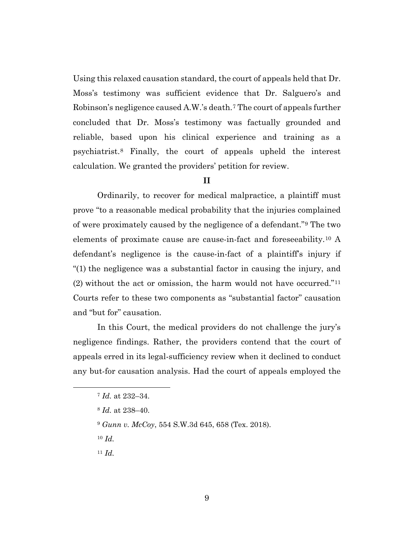Using this relaxed causation standard, the court of appeals held that Dr. Moss's testimony was sufficient evidence that Dr. Salguero's and Robinson's negligence caused A.W.'s death.7 The court of appeals further concluded that Dr. Moss's testimony was factually grounded and reliable, based upon his clinical experience and training as a psychiatrist.8 Finally, the court of appeals upheld the interest calculation. We granted the providers' petition for review.

#### **II**

Ordinarily, to recover for medical malpractice, a plaintiff must prove "to a reasonable medical probability that the injuries complained of were proximately caused by the negligence of a defendant."9 The two elements of proximate cause are cause-in-fact and foreseeability.10 A defendant's negligence is the cause-in-fact of a plaintiff's injury if "(1) the negligence was a substantial factor in causing the injury, and (2) without the act or omission, the harm would not have occurred."11 Courts refer to these two components as "substantial factor" causation and "but for" causation.

In this Court, the medical providers do not challenge the jury's negligence findings. Rather, the providers contend that the court of appeals erred in its legal-sufficiency review when it declined to conduct any but-for causation analysis. Had the court of appeals employed the

- <sup>9</sup> *Gunn v. McCoy*, 554 S.W.3d 645, 658 (Tex. 2018).
- <sup>10</sup> *Id.*
- <sup>11</sup> *Id.*

<sup>7</sup> *Id.* at 232–34.

<sup>8</sup> *Id.* at 238–40.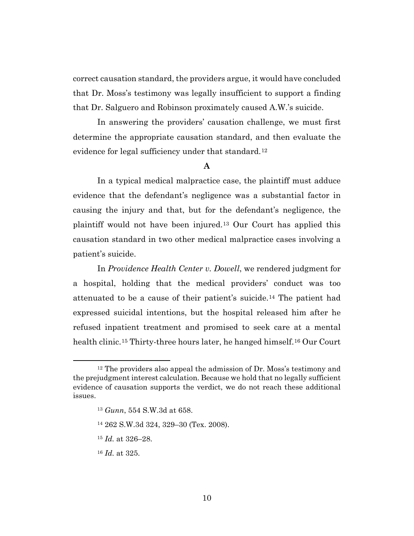correct causation standard, the providers argue, it would have concluded that Dr. Moss's testimony was legally insufficient to support a finding that Dr. Salguero and Robinson proximately caused A.W.'s suicide.

In answering the providers' causation challenge, we must first determine the appropriate causation standard, and then evaluate the evidence for legal sufficiency under that standard.12

#### **A**

In a typical medical malpractice case, the plaintiff must adduce evidence that the defendant's negligence was a substantial factor in causing the injury and that, but for the defendant's negligence, the plaintiff would not have been injured.13 Our Court has applied this causation standard in two other medical malpractice cases involving a patient's suicide.

In *Providence Health Center v. Dowell*, we rendered judgment for a hospital, holding that the medical providers' conduct was too attenuated to be a cause of their patient's suicide.14 The patient had expressed suicidal intentions, but the hospital released him after he refused inpatient treatment and promised to seek care at a mental health clinic.<sup>15</sup> Thirty-three hours later, he hanged himself.<sup>16</sup> Our Court

- <sup>14</sup> 262 S.W.3d 324, 329–30 (Tex. 2008).
- <sup>15</sup> *Id.* at 326–28.
- <sup>16</sup> *Id.* at 325.

 $12$  The providers also appeal the admission of Dr. Moss's testimony and the prejudgment interest calculation. Because we hold that no legally sufficient evidence of causation supports the verdict, we do not reach these additional issues.

<sup>13</sup> *Gunn*, 554 S.W.3d at 658.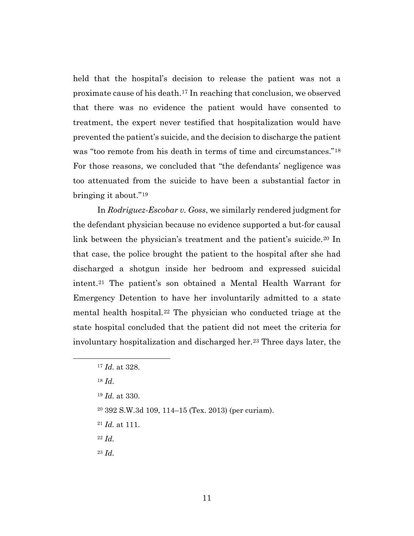held that the hospital's decision to release the patient was not a proximate cause of his death.17 In reaching that conclusion, we observed that there was no evidence the patient would have consented to treatment, the expert never testified that hospitalization would have prevented the patient's suicide, and the decision to discharge the patient was "too remote from his death in terms of time and circumstances."18 For those reasons, we concluded that "the defendants' negligence was too attenuated from the suicide to have been a substantial factor in bringing it about."19

In *Rodriguez-Escobar v. Goss*, we similarly rendered judgment for the defendant physician because no evidence supported a but-for causal link between the physician's treatment and the patient's suicide.<sup>20</sup> In that case, the police brought the patient to the hospital after she had discharged a shotgun inside her bedroom and expressed suicidal intent.21 The patient's son obtained a Mental Health Warrant for Emergency Detention to have her involuntarily admitted to a state mental health hospital.22 The physician who conducted triage at the state hospital concluded that the patient did not meet the criteria for involuntary hospitalization and discharged her.23 Three days later, the

- <sup>21</sup> *Id.* at 111.
- <sup>22</sup> *Id.*

<sup>23</sup> *Id.*

<sup>17</sup> *Id.* at 328.

<sup>18</sup> *Id.* 

<sup>19</sup> *Id.* at 330.

<sup>20</sup> 392 S.W.3d 109, 114–15 (Tex. 2013) (per curiam).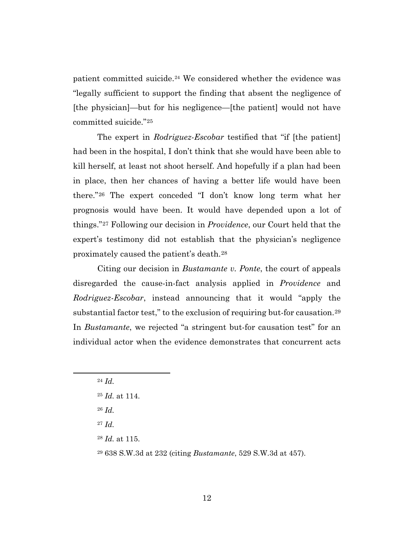patient committed suicide.<sup>24</sup> We considered whether the evidence was "legally sufficient to support the finding that absent the negligence of [the physician]—but for his negligence—[the patient] would not have committed suicide."25

The expert in *Rodriguez-Escobar* testified that "if [the patient] had been in the hospital, I don't think that she would have been able to kill herself, at least not shoot herself. And hopefully if a plan had been in place, then her chances of having a better life would have been there."26 The expert conceded "I don't know long term what her prognosis would have been. It would have depended upon a lot of things."27 Following our decision in *Providence*, our Court held that the expert's testimony did not establish that the physician's negligence proximately caused the patient's death.28

Citing our decision in *Bustamante v. Ponte*, the court of appeals disregarded the cause-in-fact analysis applied in *Providence* and *Rodriguez-Escobar*, instead announcing that it would "apply the substantial factor test," to the exclusion of requiring but-for causation.<sup>29</sup> In *Bustamante*, we rejected "a stringent but-for causation test" for an individual actor when the evidence demonstrates that concurrent acts

<sup>26</sup> *Id.*

<sup>27</sup> *Id.* 

- <sup>28</sup> *Id.* at 115.
- <sup>29</sup> 638 S.W.3d at 232 (citing *Bustamante*, 529 S.W.3d at 457).

<sup>24</sup> *Id.*

<sup>25</sup> *Id.* at 114.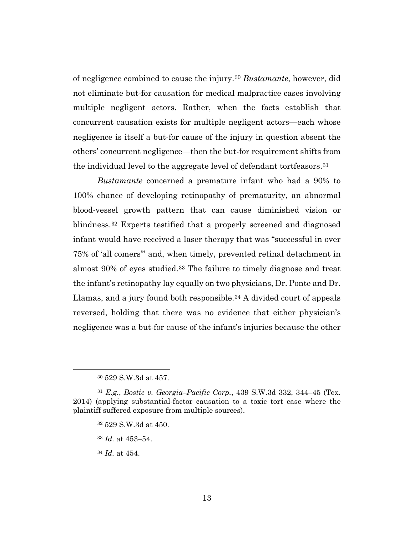of negligence combined to cause the injury.30 *Bustamante*, however, did not eliminate but-for causation for medical malpractice cases involving multiple negligent actors. Rather, when the facts establish that concurrent causation exists for multiple negligent actors—each whose negligence is itself a but-for cause of the injury in question absent the others' concurrent negligence—then the but-for requirement shifts from the individual level to the aggregate level of defendant tortfeasors.31

*Bustamante* concerned a premature infant who had a 90% to 100% chance of developing retinopathy of prematurity, an abnormal blood-vessel growth pattern that can cause diminished vision or blindness.32 Experts testified that a properly screened and diagnosed infant would have received a laser therapy that was "successful in over 75% of 'all comers'" and, when timely, prevented retinal detachment in almost 90% of eyes studied.33 The failure to timely diagnose and treat the infant's retinopathy lay equally on two physicians, Dr. Ponte and Dr. Llamas, and a jury found both responsible.<sup>34</sup> A divided court of appeals reversed, holding that there was no evidence that either physician's negligence was a but-for cause of the infant's injuries because the other

- <sup>32</sup> 529 S.W.3d at 450.
- <sup>33</sup> *Id.* at 453–54.
- <sup>34</sup> *Id.* at 454.

<sup>30</sup> 529 S.W.3d at 457.

<sup>31</sup> *E.g.*, *Bostic v. Georgia–Pacific Corp.*, 439 S.W.3d 332, 344–45 (Tex. 2014) (applying substantial-factor causation to a toxic tort case where the plaintiff suffered exposure from multiple sources).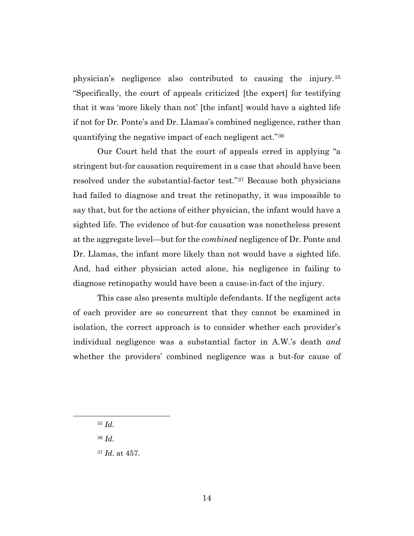physician's negligence also contributed to causing the injury.35 "Specifically, the court of appeals criticized [the expert] for testifying that it was 'more likely than not' [the infant] would have a sighted life if not for Dr. Ponte's and Dr. Llamas's combined negligence, rather than quantifying the negative impact of each negligent act."36

Our Court held that the court of appeals erred in applying "a stringent but-for causation requirement in a case that should have been resolved under the substantial-factor test."37 Because both physicians had failed to diagnose and treat the retinopathy, it was impossible to say that, but for the actions of either physician, the infant would have a sighted life. The evidence of but-for causation was nonetheless present at the aggregate level—but for the *combined* negligence of Dr. Ponte and Dr. Llamas, the infant more likely than not would have a sighted life. And, had either physician acted alone, his negligence in failing to diagnose retinopathy would have been a cause-in-fact of the injury.

This case also presents multiple defendants. If the negligent acts of each provider are so concurrent that they cannot be examined in isolation, the correct approach is to consider whether each provider's individual negligence was a substantial factor in A.W.'s death *and*  whether the providers' combined negligence was a but-for cause of

<sup>35</sup> *Id.*

<sup>36</sup> *Id.* 

<sup>37</sup> *Id.* at 457.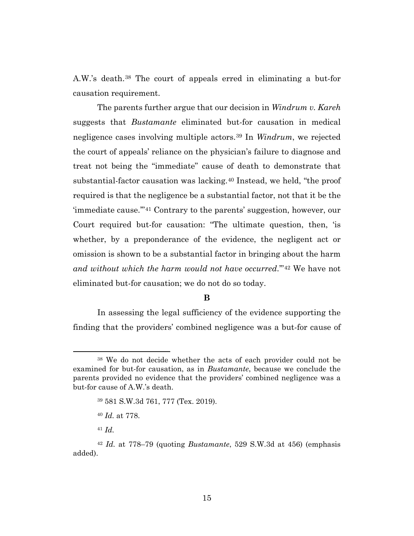A.W.'s death.38 The court of appeals erred in eliminating a but-for causation requirement.

The parents further argue that our decision in *Windrum v. Kareh* suggests that *Bustamante* eliminated but-for causation in medical negligence cases involving multiple actors.39 In *Windrum*, we rejected the court of appeals' reliance on the physician's failure to diagnose and treat not being the "immediate" cause of death to demonstrate that substantial-factor causation was lacking.40 Instead, we held, "the proof required is that the negligence be a substantial factor, not that it be the 'immediate cause.'"41 Contrary to the parents' suggestion, however, our Court required but-for causation: "The ultimate question, then, 'is whether, by a preponderance of the evidence, the negligent act or omission is shown to be a substantial factor in bringing about the harm *and without which the harm would not have occurred*.'"42 We have not eliminated but-for causation; we do not do so today.

#### **B**

In assessing the legal sufficiency of the evidence supporting the finding that the providers' combined negligence was a but-for cause of

<sup>&</sup>lt;sup>38</sup> We do not decide whether the acts of each provider could not be examined for but-for causation, as in *Bustamante*, because we conclude the parents provided no evidence that the providers' combined negligence was a but-for cause of A.W.'s death.

<sup>39</sup> 581 S.W.3d 761, 777 (Tex. 2019).

<sup>40</sup> *Id.* at 778.

<sup>41</sup> *Id.*

<sup>42</sup> *Id.* at 778–79 (quoting *Bustamante*, 529 S.W.3d at 456) (emphasis added).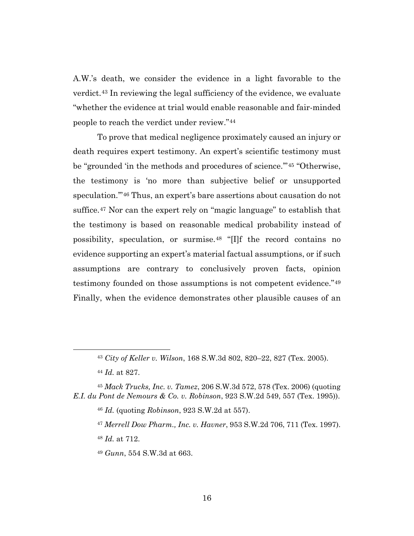A.W.'s death, we consider the evidence in a light favorable to the verdict.43 In reviewing the legal sufficiency of the evidence, we evaluate "whether the evidence at trial would enable reasonable and fair-minded people to reach the verdict under review."44

To prove that medical negligence proximately caused an injury or death requires expert testimony. An expert's scientific testimony must be "grounded 'in the methods and procedures of science.'"45 "Otherwise, the testimony is 'no more than subjective belief or unsupported speculation.'"46 Thus, an expert's bare assertions about causation do not suffice.47 Nor can the expert rely on "magic language" to establish that the testimony is based on reasonable medical probability instead of possibility, speculation, or surmise.48 "[I]f the record contains no evidence supporting an expert's material factual assumptions, or if such assumptions are contrary to conclusively proven facts, opinion testimony founded on those assumptions is not competent evidence."49 Finally, when the evidence demonstrates other plausible causes of an

<sup>46</sup> *Id.* (quoting *Robinson*, 923 S.W.2d at 557).

<sup>43</sup> *City of Keller v. Wilson*, 168 S.W.3d 802, 820–22, 827 (Tex. 2005).

<sup>44</sup> *Id.* at 827.

<sup>45</sup> *Mack Trucks, Inc. v. Tamez*, 206 S.W.3d 572, 578 (Tex. 2006) (quoting *E.I. du Pont de Nemours & Co. v. Robinson*, 923 S.W.2d 549, 557 (Tex. 1995)).

<sup>47</sup> *Merrell Dow Pharm., Inc. v. Havner*, 953 S.W.2d 706, 711 (Tex. 1997). <sup>48</sup> *Id.* at 712.

<sup>49</sup> *Gunn*, 554 S.W.3d at 663.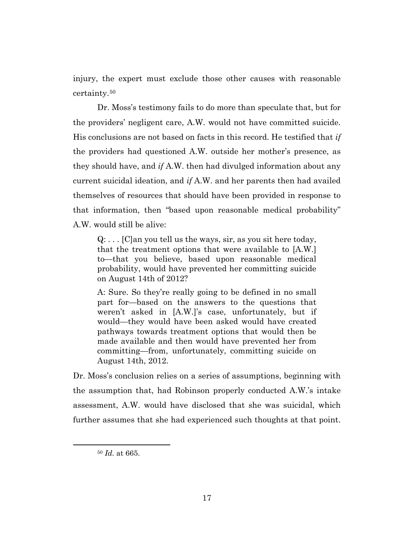injury, the expert must exclude those other causes with reasonable certainty.50

Dr. Moss's testimony fails to do more than speculate that, but for the providers' negligent care, A.W. would not have committed suicide. His conclusions are not based on facts in this record. He testified that *if*  the providers had questioned A.W. outside her mother's presence, as they should have, and *if* A.W. then had divulged information about any current suicidal ideation, and *if* A.W. and her parents then had availed themselves of resources that should have been provided in response to that information, then "based upon reasonable medical probability" A.W. would still be alive:

 $Q: \ldots$  [C]an you tell us the ways, sir, as you sit here today, that the treatment options that were available to [A.W.] to—that you believe, based upon reasonable medical probability, would have prevented her committing suicide on August 14th of 2012?

A: Sure. So they're really going to be defined in no small part for—based on the answers to the questions that weren't asked in [A.W.]'s case, unfortunately, but if would—they would have been asked would have created pathways towards treatment options that would then be made available and then would have prevented her from committing—from, unfortunately, committing suicide on August 14th, 2012.

Dr. Moss's conclusion relies on a series of assumptions, beginning with the assumption that, had Robinson properly conducted A.W.'s intake assessment, A.W. would have disclosed that she was suicidal, which further assumes that she had experienced such thoughts at that point.

<sup>50</sup> *Id.* at 665.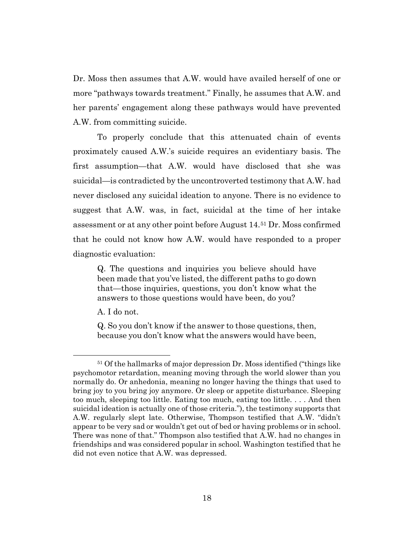Dr. Moss then assumes that A.W. would have availed herself of one or more "pathways towards treatment." Finally, he assumes that A.W. and her parents' engagement along these pathways would have prevented A.W. from committing suicide.

To properly conclude that this attenuated chain of events proximately caused A.W.'s suicide requires an evidentiary basis. The first assumption—that A.W. would have disclosed that she was suicidal—is contradicted by the uncontroverted testimony that A.W. had never disclosed any suicidal ideation to anyone. There is no evidence to suggest that A.W. was, in fact, suicidal at the time of her intake assessment or at any other point before August 14.51 Dr. Moss confirmed that he could not know how A.W. would have responded to a proper diagnostic evaluation:

Q. The questions and inquiries you believe should have been made that you've listed, the different paths to go down that—those inquiries, questions, you don't know what the answers to those questions would have been, do you?

A. I do not.

Q. So you don't know if the answer to those questions, then, because you don't know what the answers would have been,

<sup>51</sup> Of the hallmarks of major depression Dr. Moss identified ("things like psychomotor retardation, meaning moving through the world slower than you normally do. Or anhedonia, meaning no longer having the things that used to bring joy to you bring joy anymore. Or sleep or appetite disturbance. Sleeping too much, sleeping too little. Eating too much, eating too little. . . . And then suicidal ideation is actually one of those criteria."), the testimony supports that A.W. regularly slept late. Otherwise, Thompson testified that A.W. "didn't appear to be very sad or wouldn't get out of bed or having problems or in school. There was none of that." Thompson also testified that A.W. had no changes in friendships and was considered popular in school. Washington testified that he did not even notice that A.W. was depressed.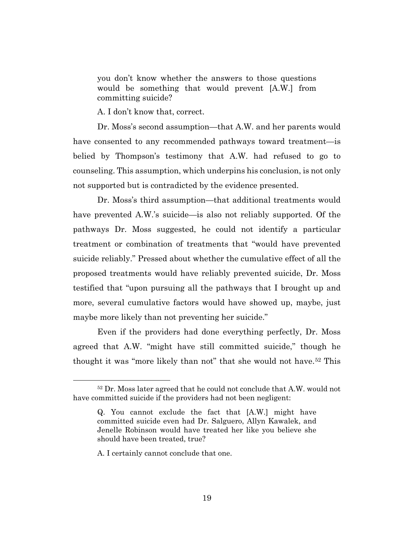you don't know whether the answers to those questions would be something that would prevent [A.W.] from committing suicide?

A. I don't know that, correct.

Dr. Moss's second assumption—that A.W. and her parents would have consented to any recommended pathways toward treatment—is belied by Thompson's testimony that A.W. had refused to go to counseling. This assumption, which underpins his conclusion, is not only not supported but is contradicted by the evidence presented.

Dr. Moss's third assumption—that additional treatments would have prevented A.W.'s suicide—is also not reliably supported. Of the pathways Dr. Moss suggested, he could not identify a particular treatment or combination of treatments that "would have prevented suicide reliably." Pressed about whether the cumulative effect of all the proposed treatments would have reliably prevented suicide, Dr. Moss testified that "upon pursuing all the pathways that I brought up and more, several cumulative factors would have showed up, maybe, just maybe more likely than not preventing her suicide."

Even if the providers had done everything perfectly, Dr. Moss agreed that A.W. "might have still committed suicide," though he thought it was "more likely than not" that she would not have.<sup>52</sup> This

<sup>52</sup> Dr. Moss later agreed that he could not conclude that A.W. would not have committed suicide if the providers had not been negligent:

Q. You cannot exclude the fact that [A.W.] might have committed suicide even had Dr. Salguero, Allyn Kawalek, and Jenelle Robinson would have treated her like you believe she should have been treated, true?

A. I certainly cannot conclude that one.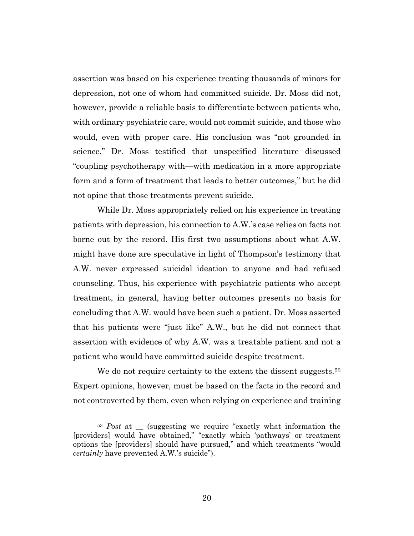assertion was based on his experience treating thousands of minors for depression, not one of whom had committed suicide. Dr. Moss did not, however, provide a reliable basis to differentiate between patients who, with ordinary psychiatric care, would not commit suicide, and those who would, even with proper care. His conclusion was "not grounded in science." Dr. Moss testified that unspecified literature discussed "coupling psychotherapy with—with medication in a more appropriate form and a form of treatment that leads to better outcomes," but he did not opine that those treatments prevent suicide.

While Dr. Moss appropriately relied on his experience in treating patients with depression, his connection to A.W.'s case relies on facts not borne out by the record. His first two assumptions about what A.W. might have done are speculative in light of Thompson's testimony that A.W. never expressed suicidal ideation to anyone and had refused counseling. Thus, his experience with psychiatric patients who accept treatment, in general, having better outcomes presents no basis for concluding that A.W. would have been such a patient. Dr. Moss asserted that his patients were "just like" A.W., but he did not connect that assertion with evidence of why A.W. was a treatable patient and not a patient who would have committed suicide despite treatment.

We do not require certainty to the extent the dissent suggests.<sup>53</sup> Expert opinions, however, must be based on the facts in the record and not controverted by them, even when relying on experience and training

<sup>&</sup>lt;sup>53</sup> *Post* at (suggesting we require "exactly what information the [providers] would have obtained," "exactly which 'pathways' or treatment options the [providers] should have pursued," and which treatments "would *certainly* have prevented A.W.'s suicide").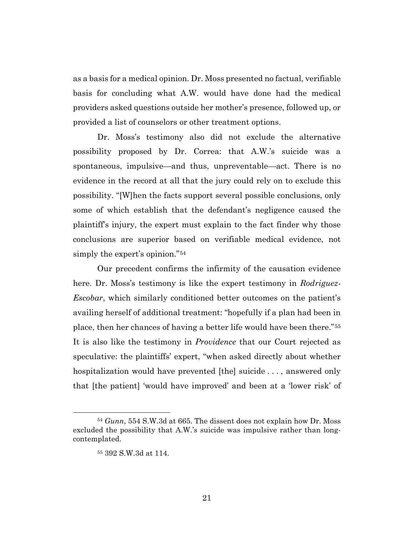as a basis for a medical opinion. Dr. Moss presented no factual, verifiable basis for concluding what A.W. would have done had the medical providers asked questions outside her mother's presence, followed up, or provided a list of counselors or other treatment options.

Dr. Moss's testimony also did not exclude the alternative possibility proposed by Dr. Correa: that A.W.'s suicide was a spontaneous, impulsive—and thus, unpreventable—act. There is no evidence in the record at all that the jury could rely on to exclude this possibility. "[W]hen the facts support several possible conclusions, only some of which establish that the defendant's negligence caused the plaintiff's injury, the expert must explain to the fact finder why those conclusions are superior based on verifiable medical evidence, not simply the expert's opinion."54

Our precedent confirms the infirmity of the causation evidence here. Dr. Moss's testimony is like the expert testimony in *Rodriguez-Escobar*, which similarly conditioned better outcomes on the patient's availing herself of additional treatment: "hopefully if a plan had been in place, then her chances of having a better life would have been there."55 It is also like the testimony in *Providence* that our Court rejected as speculative: the plaintiffs' expert, "when asked directly about whether hospitalization would have prevented [the] suicide ..., answered only that [the patient] 'would have improved' and been at a 'lower risk' of

<sup>54</sup> *Gunn*, 554 S.W.3d at 665. The dissent does not explain how Dr. Moss excluded the possibility that A.W.'s suicide was impulsive rather than longcontemplated.

<sup>55</sup> 392 S.W.3d at 114.